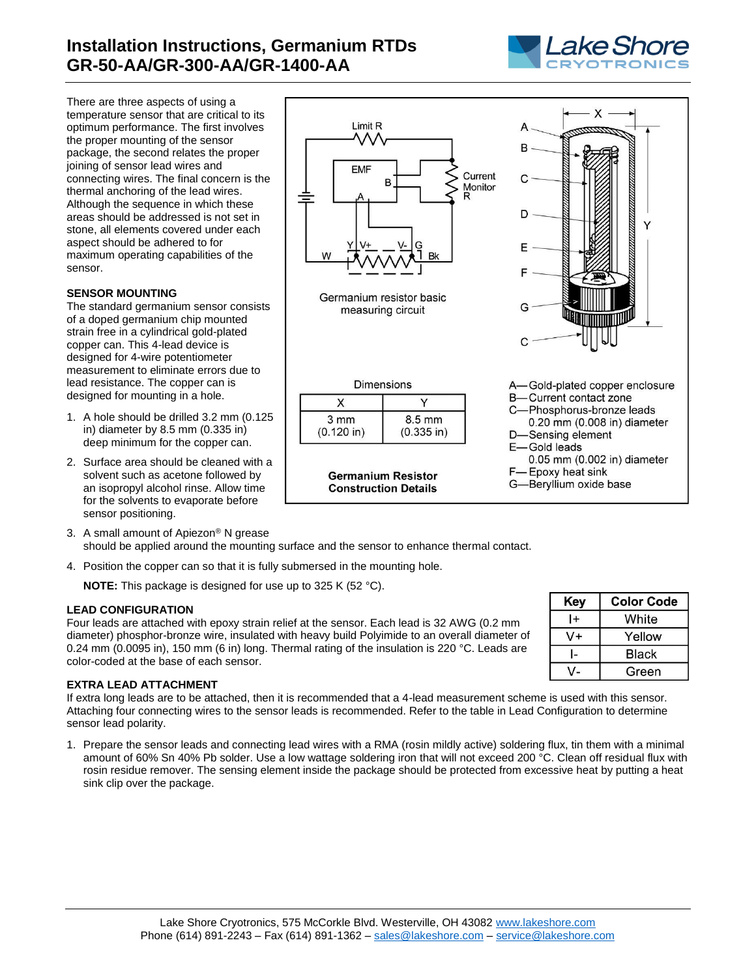# **Installation Instructions, Germanium RTDs GR-50-AA/GR-300-AA/GR-1400-AA**



X

Υ

B

C

D

E

G

C

There are three aspects of using a temperature sensor that are critical to its optimum performance. The first involves the proper mounting of the sensor package, the second relates the proper joining of sensor lead wires and connecting wires. The final concern is the thermal anchoring of the lead wires. Although the sequence in which these areas should be addressed is not set in stone, all elements covered under each aspect should be adhered to for maximum operating capabilities of the sensor.

## **SENSOR MOUNTING**

The standard germanium sensor consists of a doped germanium chip mounted strain free in a cylindrical gold-plated copper can. This 4-lead device is designed for 4-wire potentiometer measurement to eliminate errors due to lead resistance. The copper can is designed for mounting in a hole.

- 1. A hole should be drilled 3.2 mm (0.125 in) diameter by 8.5 mm (0.335 in) deep minimum for the copper can.
- 2. Surface area should be cleaned with a solvent such as acetone followed by an isopropyl alcohol rinse. Allow time for the solvents to evaporate before sensor positioning.
- 3. A small amount of Apiezon® N grease should be applied around the mounting surface and the sensor to enhance thermal contact.
- 4. Position the copper can so that it is fully submersed in the mounting hole.

**NOTE:** This package is designed for use up to 325 K (52 °C).

### **LEAD CONFIGURATION**

Four leads are attached with epoxy strain relief at the sensor. Each lead is 32 AWG (0.2 mm diameter) phosphor-bronze wire, insulated with heavy build Polyimide to an overall diameter of 0.24 mm (0.0095 in), 150 mm (6 in) long. Thermal rating of the insulation is 220 °C. Leads are color-coded at the base of each sensor.

#### Yellow V+  $\mathbf{L}$ **Black**  $V -$ Green

A-Gold-plated copper enclosure

0.05 mm (0.002 in) diameter

B-Current contact zone C-Phosphorus-bronze leads 0.20 mm (0.008 in) diameter

D-Sensing element E-Gold leads

F-Epoxy heat sink

G-Beryllium oxide base

## **EXTRA LEAD ATTACHMENT**

If extra long leads are to be attached, then it is recommended that a 4-lead measurement scheme is used with this sensor. Attaching four connecting wires to the sensor leads is recommended. Refer to the table in Lead Configuration to determine sensor lead polarity.

1. Prepare the sensor leads and connecting lead wires with a RMA (rosin mildly active) soldering flux, tin them with a minimal amount of 60% Sn 40% Pb solder. Use a low wattage soldering iron that will not exceed 200 °C. Clean off residual flux with rosin residue remover. The sensing element inside the package should be protected from excessive heat by putting a heat sink clip over the package.



Germanium resistor basic measuring circuit

|                      | <b>Dimensions</b>                |
|----------------------|----------------------------------|
|                      |                                  |
| 3 mm<br>$(0.120$ in) | $8.5 \text{ mm}$<br>$(0.335$ in) |

**Germanium Resistor Construction Details** 

**Key Color Code**  $|+|$ White